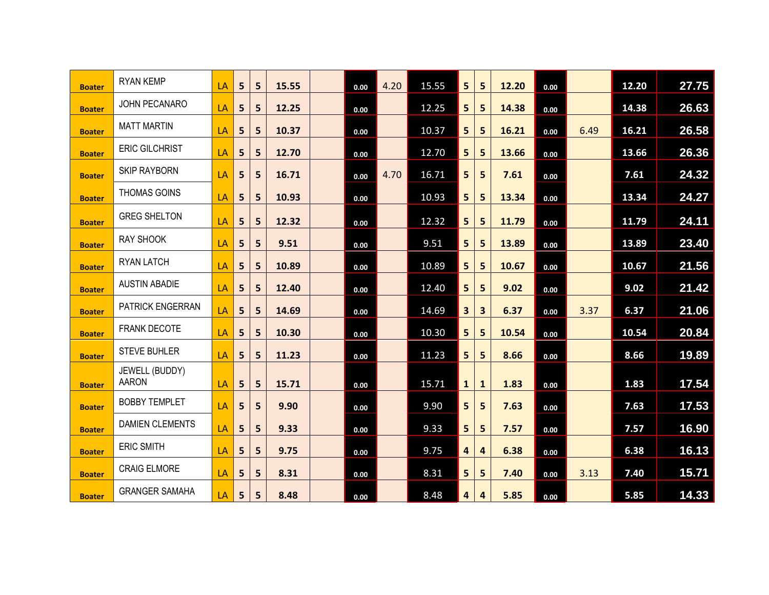| <b>Boater</b> | <b>RYAN KEMP</b>               | LA | 5 | 5 | 15.55 | 0.00 | 4.20 | 15.55 | 5 <sup>1</sup>          | 5            | 12.20 | 0.00 |      | 12.20 | 27.75 |
|---------------|--------------------------------|----|---|---|-------|------|------|-------|-------------------------|--------------|-------|------|------|-------|-------|
| <b>Boater</b> | JOHN PECANARO                  | LA | 5 | 5 | 12.25 | 0.00 |      | 12.25 | 5 <sub>1</sub>          | 5            | 14.38 | 0.00 |      | 14.38 | 26.63 |
| <b>Boater</b> | <b>MATT MARTIN</b>             | LA | 5 | 5 | 10.37 | 0.00 |      | 10.37 | 5 <sub>1</sub>          | 5            | 16.21 | 0.00 | 6.49 | 16.21 | 26.58 |
| <b>Boater</b> | <b>ERIC GILCHRIST</b>          | LA | 5 | 5 | 12.70 | 0.00 |      | 12.70 | 5 <sub>1</sub>          | 5            | 13.66 | 0.00 |      | 13.66 | 26.36 |
| <b>Boater</b> | <b>SKIP RAYBORN</b>            | LA | 5 | 5 | 16.71 | 0.00 | 4.70 | 16.71 | 5 <sub>1</sub>          | 5            | 7.61  | 0.00 |      | 7.61  | 24.32 |
| <b>Boater</b> | <b>THOMAS GOINS</b>            | LA | 5 | 5 | 10.93 | 0.00 |      | 10.93 | 5 <sub>1</sub>          | 5            | 13.34 | 0.00 |      | 13.34 | 24.27 |
| <b>Boater</b> | <b>GREG SHELTON</b>            | LA | 5 | 5 | 12.32 | 0.00 |      | 12.32 | 5 <sub>1</sub>          | 5            | 11.79 | 0.00 |      | 11.79 | 24.11 |
| <b>Boater</b> | <b>RAY SHOOK</b>               | LA | 5 | 5 | 9.51  | 0.00 |      | 9.51  | 5 <sub>1</sub>          | 5            | 13.89 | 0.00 |      | 13.89 | 23.40 |
| <b>Boater</b> | <b>RYAN LATCH</b>              | LA | 5 | 5 | 10.89 | 0.00 |      | 10.89 | 5 <sub>1</sub>          | 5            | 10.67 | 0.00 |      | 10.67 | 21.56 |
| <b>Boater</b> | <b>AUSTIN ABADIE</b>           | LA | 5 | 5 | 12.40 | 0.00 |      | 12.40 | 5 <sub>1</sub>          | 5            | 9.02  | 0.00 |      | 9.02  | 21.42 |
| <b>Boater</b> | PATRICK ENGERRAN               | LA | 5 | 5 | 14.69 | 0.00 |      | 14.69 | 3 <sup>1</sup>          | 3            | 6.37  | 0.00 | 3.37 | 6.37  | 21.06 |
| <b>Boater</b> | <b>FRANK DECOTE</b>            | LA | 5 | 5 | 10.30 | 0.00 |      | 10.30 | 5 <sub>1</sub>          | 5            | 10.54 | 0.00 |      | 10.54 | 20.84 |
| <b>Boater</b> | <b>STEVE BUHLER</b>            | LA | 5 | 5 | 11.23 | 0.00 |      | 11.23 | 5 <sub>1</sub>          | 5            | 8.66  | 0.00 |      | 8.66  | 19.89 |
| <b>Boater</b> | JEWELL (BUDDY)<br><b>AARON</b> | LA | 5 | 5 | 15.71 | 0.00 |      | 15.71 | $\mathbf{1}$            | $\mathbf{1}$ | 1.83  | 0.00 |      | 1.83  | 17.54 |
| <b>Boater</b> | <b>BOBBY TEMPLET</b>           | LA | 5 | 5 | 9.90  | 0.00 |      | 9.90  | 5 <sub>1</sub>          | 5            | 7.63  | 0.00 |      | 7.63  | 17.53 |
| <b>Boater</b> | <b>DAMIEN CLEMENTS</b>         | LA | 5 | 5 | 9.33  | 0.00 |      | 9.33  | 5 <sub>1</sub>          | 5            | 7.57  | 0.00 |      | 7.57  | 16.90 |
| <b>Boater</b> | <b>ERIC SMITH</b>              | LA | 5 | 5 | 9.75  | 0.00 |      | 9.75  | $\overline{\mathbf{4}}$ | 4            | 6.38  | 0.00 |      | 6.38  | 16.13 |
| <b>Boater</b> | <b>CRAIG ELMORE</b>            | LA | 5 | 5 | 8.31  | 0.00 |      | 8.31  | 5 <sub>1</sub>          | 5            | 7.40  | 0.00 | 3.13 | 7.40  | 15.71 |
| <b>Boater</b> | <b>GRANGER SAMAHA</b>          | LA | 5 | 5 | 8.48  | 0.00 |      | 8.48  | 4                       | 4            | 5.85  | 0.00 |      | 5.85  | 14.33 |